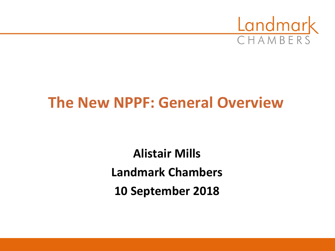

## **The New NPPF: General Overview**

**Alistair Mills Landmark Chambers 10 September 2018**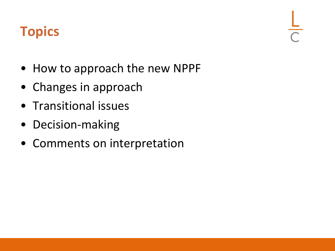## **Topics**

- How to approach the new NPPF
- Changes in approach
- Transitional issues
- Decision-making
- Comments on interpretation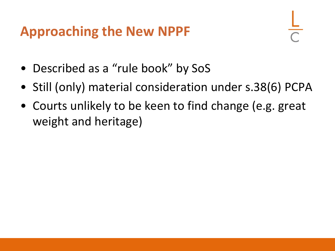#### **Approaching the New NPPF**

- Described as a "rule book" by SoS
- Still (only) material consideration under s.38(6) PCPA
- Courts unlikely to be keen to find change (e.g. great weight and heritage)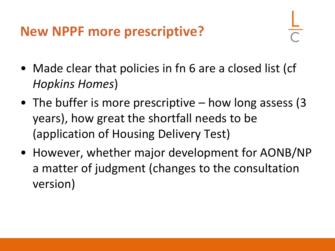## **New NPPF more prescriptive?**

- Made clear that policies in fn 6 are a closed list (cf *Hopkins Homes*)
- The buffer is more prescriptive how long assess (3) years), how great the shortfall needs to be (application of Housing Delivery Test)
- However, whether major development for AONB/NP a matter of judgment (changes to the consultation version)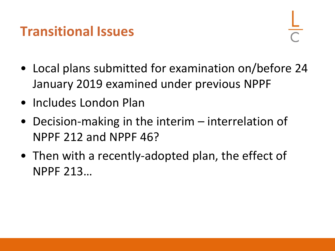#### **Transitional Issues**

- Local plans submitted for examination on/before 24 January 2019 examined under previous NPPF
- Includes London Plan
- Decision-making in the interim interrelation of NPPF 212 and NPPF 46?
- Then with a recently-adopted plan, the effect of NPPF 213…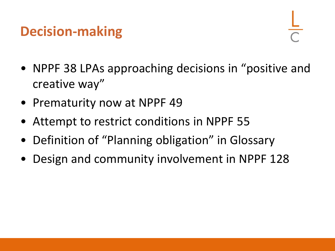## **Decision-making**

- NPPF 38 LPAs approaching decisions in "positive and creative way"
- Prematurity now at NPPF 49
- Attempt to restrict conditions in NPPF 55
- Definition of "Planning obligation" in Glossary
- Design and community involvement in NPPF 128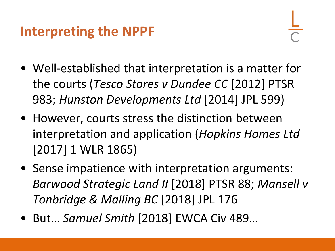#### **Interpreting the NPPF**

- Well-established that interpretation is a matter for the courts (*Tesco Stores v Dundee CC* [2012] PTSR 983; *Hunston Developments Ltd* [2014] JPL 599)
- However, courts stress the distinction between interpretation and application (*Hopkins Homes Ltd*  [2017] 1 WLR 1865)
- Sense impatience with interpretation arguments: *Barwood Strategic Land II* [2018] PTSR 88; *Mansell v Tonbridge & Malling BC* [2018] JPL 176
- But… *Samuel Smith* [2018] EWCA Civ 489…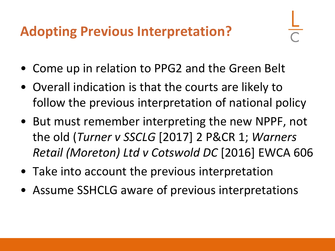## **Adopting Previous Interpretation?**

- 
- Come up in relation to PPG2 and the Green Belt
- Overall indication is that the courts are likely to follow the previous interpretation of national policy
- But must remember interpreting the new NPPF, not the old (*Turner v SSCLG* [2017] 2 P&CR 1; *Warners Retail (Moreton) Ltd v Cotswold DC* [2016] EWCA 606
- Take into account the previous interpretation
- Assume SSHCLG aware of previous interpretations